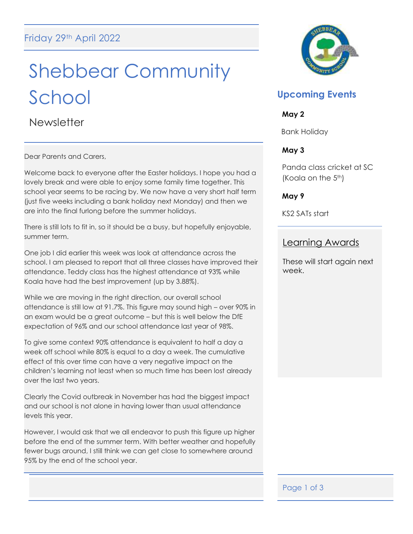# Shebbear Community School

**Newsletter** 

Dear Parents and Carers,

Welcome back to everyone after the Easter holidays. I hope you had a lovely break and were able to enjoy some family time together. This school year seems to be racing by. We now have a very short half term (just five weeks including a bank holiday next Monday) and then we are into the final furlong before the summer holidays.

There is still lots to fit in, so it should be a busy, but hopefully enjoyable, summer term.

One job I did earlier this week was look at attendance across the school. I am pleased to report that all three classes have improved their attendance. Teddy class has the highest attendance at 93% while Koala have had the best improvement (up by 3.88%).

While we are moving in the right direction, our overall school attendance is still low at 91.7%. This figure may sound high – over 90% in an exam would be a great outcome – but this is well below the DfE expectation of 96% and our school attendance last year of 98%.

To give some context 90% attendance is equivalent to half a day a week off school while 80% is equal to a day a week. The cumulative effect of this over time can have a very negative impact on the children's learning not least when so much time has been lost already over the last two years.

Clearly the Covid outbreak in November has had the biggest impact and our school is not alone in having lower than usual attendance levels this year.

However, I would ask that we all endeavor to push this figure up higher before the end of the summer term. With better weather and hopefully fewer bugs around, I still think we can get close to somewhere around 95% by the end of the school year.



## **Upcoming Events**

#### **May 2**

Bank Holiday

## **May 3**

Panda class cricket at SC (Koala on the 5<sup>th</sup>)

## **May 9**

KS2 SATs start

## Learning Awards

These will start again next week.

## Page 1 of 3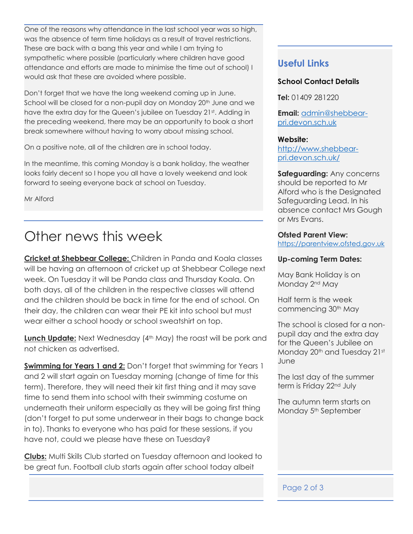One of the reasons why attendance in the last school year was so high, was the absence of term time holidays as a result of travel restrictions. These are back with a bang this year and while I am trying to sympathetic where possible (particularly where children have good attendance and efforts are made to minimise the time out of school) I would ask that these are avoided where possible.

Don't forget that we have the long weekend coming up in June. School will be closed for a non-pupil day on Monday 20<sup>th</sup> June and we have the extra day for the Queen's jubilee on Tuesday 21st. Adding in the preceding weekend, there may be an opportunity to book a short break somewhere without having to worry about missing school.

On a positive note, all of the children are in school today.

In the meantime, this coming Monday is a bank holiday, the weather looks fairly decent so I hope you all have a lovely weekend and look forward to seeing everyone back at school on Tuesday.

Mr Alford

## Other news this week

**Cricket at Shebbear College:** Children in Panda and Koala classes will be having an afternoon of cricket up at Shebbear College next week. On Tuesday it will be Panda class and Thursday Koala. On both days, all of the children in the respective classes will attend and the children should be back in time for the end of school. On their day, the children can wear their PE kit into school but must wear either a school hoody or school sweatshirt on top.

**Lunch Update:** Next Wednesday (4<sup>th</sup> May) the roast will be pork and not chicken as advertised.

**Swimming for Years 1 and 2:** Don't forget that swimming for Years 1 and 2 will start again on Tuesday morning (change of time for this term). Therefore, they will need their kit first thing and it may save time to send them into school with their swimming costume on underneath their uniform especially as they will be going first thing (don't forget to put some underwear in their bags to change back in to). Thanks to everyone who has paid for these sessions, if you have not, could we please have these on Tuesday?

**Clubs:** Multi Skills Club started on Tuesday afternoon and looked to be great fun. Football club starts again after school today albeit

## **Useful Links**

#### **School Contact Details**

**Tel:** 01409 281220

**Email:** [admin@shebbear](mailto:admin@shebbear-pri.devon.sch.uk)[pri.devon.sch.uk](mailto:admin@shebbear-pri.devon.sch.uk)

#### **Website:**

[http://www.shebbear](http://www.shebbear-pri.devon.sch.uk/)[pri.devon.sch.uk/](http://www.shebbear-pri.devon.sch.uk/)

**Safeguarding:** Any concerns should be reported to Mr Alford who is the Designated Safeguarding Lead. In his absence contact Mrs Gough or Mrs Evans.

#### **Ofsted Parent View:**

[https://parentview.ofsted.gov.uk](https://parentview.ofsted.gov.uk/)

#### **Up-coming Term Dates:**

May Bank Holiday is on Monday 2<sup>nd</sup> May

Half term is the week commencing 30th May

The school is closed for a nonpupil day and the extra day for the Queen's Jubilee on Monday 20<sup>th</sup> and Tuesday 21st June

The last day of the summer term is Friday 22<sup>nd</sup> July

The autumn term starts on Monday 5<sup>th</sup> September

#### Page 2 of 3